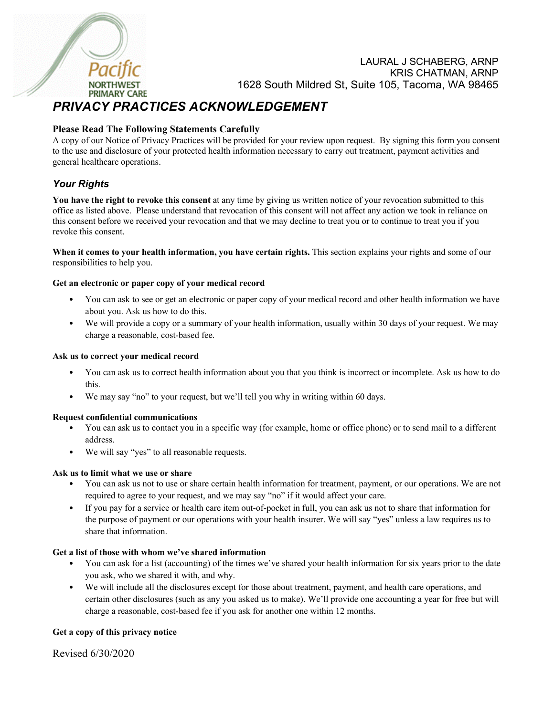

LAURAL J SCHABERG, ARNP KRIS CHATMAN, ARNP 1628 South Mildred St, Suite 105, Tacoma, WA 98465

# *PRIVACY PRACTICES ACKNOWLEDGEMENT*

# **Please Read The Following Statements Carefully**

A copy of our Notice of Privacy Practices will be provided for your review upon request. By signing this form you consent to the use and disclosure of your protected health information necessary to carry out treatment, payment activities and general healthcare operations.

# *Your Rights*

**You have the right to revoke this consent** at any time by giving us written notice of your revocation submitted to this office as listed above. Please understand that revocation of this consent will not affect any action we took in reliance on this consent before we received your revocation and that we may decline to treat you or to continue to treat you if you revoke this consent.

**When it comes to your health information, you have certain rights.** This section explains your rights and some of our responsibilities to help you.

### **Get an electronic or paper copy of your medical record**

- You can ask to see or get an electronic or paper copy of your medical record and other health information we have about you. Ask us how to do this.
- We will provide a copy or a summary of your health information, usually within 30 days of your request. We may charge a reasonable, cost-based fee.

#### **Ask us to correct your medical record**

- You can ask us to correct health information about you that you think is incorrect or incomplete. Ask us how to do this.
- We may say "no" to your request, but we'll tell you why in writing within 60 days.

#### **Request confidential communications**

- You can ask us to contact you in a specific way (for example, home or office phone) or to send mail to a different address.
- We will say "yes" to all reasonable requests.

#### **Ask us to limit what we use or share**

- You can ask us not to use or share certain health information for treatment, payment, or our operations. We are not required to agree to your request, and we may say "no" if it would affect your care.
- If you pay for a service or health care item out-of-pocket in full, you can ask us not to share that information for the purpose of payment or our operations with your health insurer. We will say "yes" unless a law requires us to share that information.

#### **Get a list of those with whom we've shared information**

- You can ask for a list (accounting) of the times we've shared your health information for six years prior to the date you ask, who we shared it with, and why.
- We will include all the disclosures except for those about treatment, payment, and health care operations, and certain other disclosures (such as any you asked us to make). We'll provide one accounting a year for free but will charge a reasonable, cost-based fee if you ask for another one within 12 months.

## **Get a copy of this privacy notice**

Revised 6/30/2020